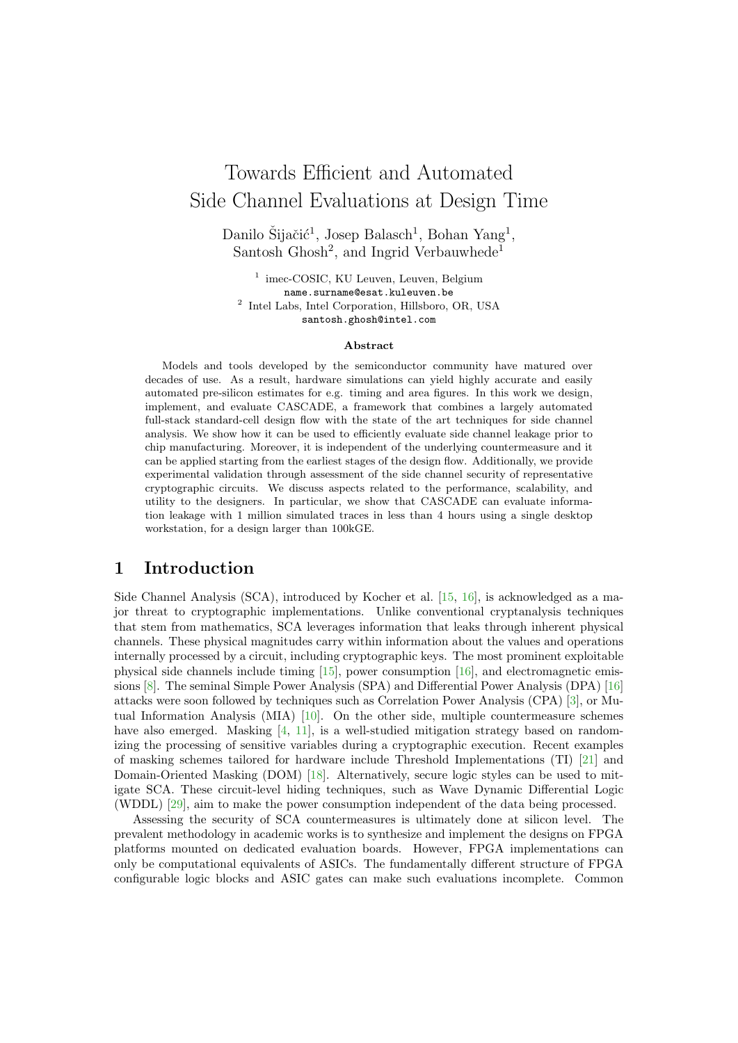# Towards Efficient and Automated Side Channel Evaluations at Design Time

Danilo Šijačić<sup>1</sup>, Josep Balasch<sup>1</sup>, Bohan Yang<sup>1</sup>, Santosh Ghosh<sup>2</sup>, and Ingrid Verbauwhede<sup>1</sup>

<sup>1</sup> imec-COSIC, KU Leuven, Leuven, Belgium name.surname@esat.kuleuven.be 2 Intel Labs, Intel Corporation, Hillsboro, OR, USA santosh.ghosh@intel.com

#### Abstract

Models and tools developed by the semiconductor community have matured over decades of use. As a result, hardware simulations can yield highly accurate and easily automated pre-silicon estimates for e.g. timing and area figures. In this work we design, implement, and evaluate CASCADE, a framework that combines a largely automated full-stack standard-cell design flow with the state of the art techniques for side channel analysis. We show how it can be used to efficiently evaluate side channel leakage prior to chip manufacturing. Moreover, it is independent of the underlying countermeasure and it can be applied starting from the earliest stages of the design flow. Additionally, we provide experimental validation through assessment of the side channel security of representative cryptographic circuits. We discuss aspects related to the performance, scalability, and utility to the designers. In particular, we show that CASCADE can evaluate information leakage with 1 million simulated traces in less than 4 hours using a single desktop workstation, for a design larger than 100kGE.

## 1 Introduction

Side Channel Analysis (SCA), introduced by Kocher et al. [\[15,](#page-13-0) [16\]](#page-13-1), is acknowledged as a major threat to cryptographic implementations. Unlike conventional cryptanalysis techniques that stem from mathematics, SCA leverages information that leaks through inherent physical channels. These physical magnitudes carry within information about the values and operations internally processed by a circuit, including cryptographic keys. The most prominent exploitable physical side channels include timing [\[15\]](#page-13-0), power consumption [\[16\]](#page-13-1), and electromagnetic emissions [\[8\]](#page-13-2). The seminal Simple Power Analysis (SPA) and Differential Power Analysis (DPA) [\[16\]](#page-13-1) attacks were soon followed by techniques such as Correlation Power Analysis (CPA) [\[3\]](#page-13-3), or Mutual Information Analysis (MIA) [\[10\]](#page-13-4). On the other side, multiple countermeasure schemes have also emerged. Masking [\[4,](#page-13-5) [11\]](#page-13-6), is a well-studied mitigation strategy based on randomizing the processing of sensitive variables during a cryptographic execution. Recent examples of masking schemes tailored for hardware include Threshold Implementations (TI) [\[21\]](#page-14-0) and Domain-Oriented Masking (DOM) [\[18\]](#page-14-1). Alternatively, secure logic styles can be used to mitigate SCA. These circuit-level hiding techniques, such as Wave Dynamic Differential Logic (WDDL) [\[29\]](#page-14-2), aim to make the power consumption independent of the data being processed.

Assessing the security of SCA countermeasures is ultimately done at silicon level. The prevalent methodology in academic works is to synthesize and implement the designs on FPGA platforms mounted on dedicated evaluation boards. However, FPGA implementations can only be computational equivalents of ASICs. The fundamentally different structure of FPGA configurable logic blocks and ASIC gates can make such evaluations incomplete. Common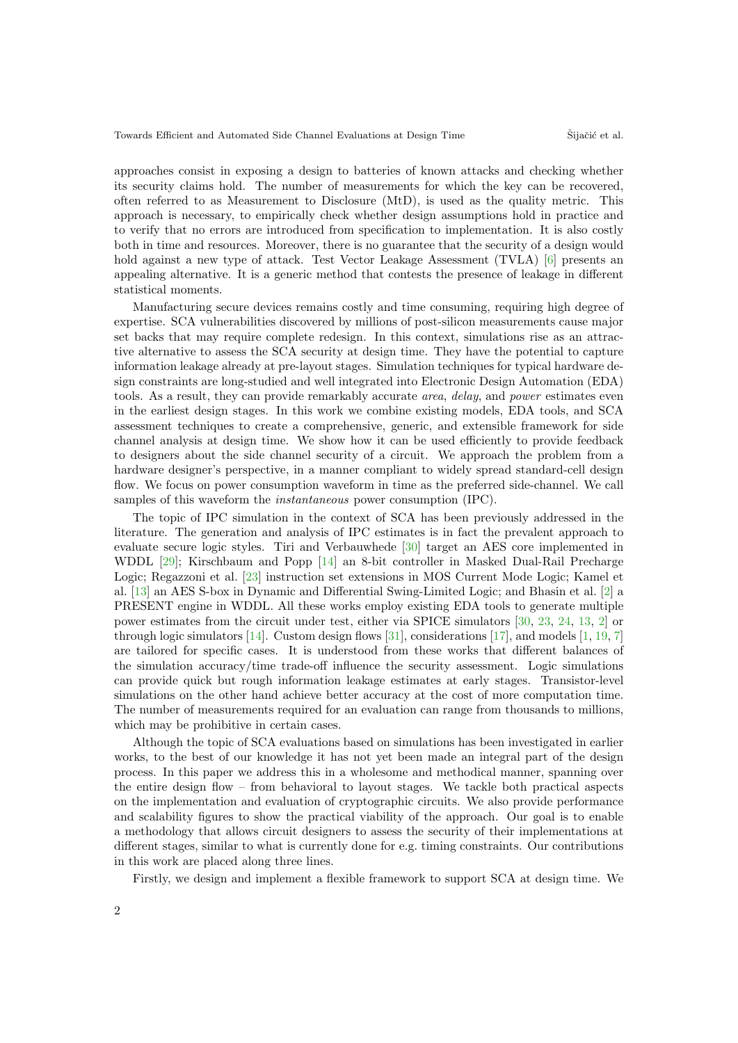approaches consist in exposing a design to batteries of known attacks and checking whether its security claims hold. The number of measurements for which the key can be recovered, often referred to as Measurement to Disclosure (MtD), is used as the quality metric. This approach is necessary, to empirically check whether design assumptions hold in practice and to verify that no errors are introduced from specification to implementation. It is also costly both in time and resources. Moreover, there is no guarantee that the security of a design would hold against a new type of attack. Test Vector Leakage Assessment (TVLA) [\[6\]](#page-13-7) presents an appealing alternative. It is a generic method that contests the presence of leakage in different statistical moments.

Manufacturing secure devices remains costly and time consuming, requiring high degree of expertise. SCA vulnerabilities discovered by millions of post-silicon measurements cause major set backs that may require complete redesign. In this context, simulations rise as an attractive alternative to assess the SCA security at design time. They have the potential to capture information leakage already at pre-layout stages. Simulation techniques for typical hardware design constraints are long-studied and well integrated into Electronic Design Automation (EDA) tools. As a result, they can provide remarkably accurate area, delay, and power estimates even in the earliest design stages. In this work we combine existing models, EDA tools, and SCA assessment techniques to create a comprehensive, generic, and extensible framework for side channel analysis at design time. We show how it can be used efficiently to provide feedback to designers about the side channel security of a circuit. We approach the problem from a hardware designer's perspective, in a manner compliant to widely spread standard-cell design flow. We focus on power consumption waveform in time as the preferred side-channel. We call samples of this waveform the instantaneous power consumption (IPC).

The topic of IPC simulation in the context of SCA has been previously addressed in the literature. The generation and analysis of IPC estimates is in fact the prevalent approach to evaluate secure logic styles. Tiri and Verbauwhede [\[30\]](#page-14-3) target an AES core implemented in WDDL [\[29\]](#page-14-2); Kirschbaum and Popp [\[14\]](#page-13-8) an 8-bit controller in Masked Dual-Rail Precharge Logic; Regazzoni et al. [\[23\]](#page-14-4) instruction set extensions in MOS Current Mode Logic; Kamel et al. [\[13\]](#page-13-9) an AES S-box in Dynamic and Differential Swing-Limited Logic; and Bhasin et al. [\[2\]](#page-12-0) a PRESENT engine in WDDL. All these works employ existing EDA tools to generate multiple power estimates from the circuit under test, either via SPICE simulators [\[30,](#page-14-3) [23,](#page-14-4) [24,](#page-14-5) [13,](#page-13-9) [2\]](#page-12-0) or through logic simulators [\[14\]](#page-13-8). Custom design flows [\[31\]](#page-14-6), considerations [\[17\]](#page-13-10), and models [\[1,](#page-12-1) [19,](#page-14-7) [7\]](#page-13-11) are tailored for specific cases. It is understood from these works that different balances of the simulation accuracy/time trade-off influence the security assessment. Logic simulations can provide quick but rough information leakage estimates at early stages. Transistor-level simulations on the other hand achieve better accuracy at the cost of more computation time. The number of measurements required for an evaluation can range from thousands to millions, which may be prohibitive in certain cases.

Although the topic of SCA evaluations based on simulations has been investigated in earlier works, to the best of our knowledge it has not yet been made an integral part of the design process. In this paper we address this in a wholesome and methodical manner, spanning over the entire design flow – from behavioral to layout stages. We tackle both practical aspects on the implementation and evaluation of cryptographic circuits. We also provide performance and scalability figures to show the practical viability of the approach. Our goal is to enable a methodology that allows circuit designers to assess the security of their implementations at different stages, similar to what is currently done for e.g. timing constraints. Our contributions in this work are placed along three lines.

Firstly, we design and implement a flexible framework to support SCA at design time. We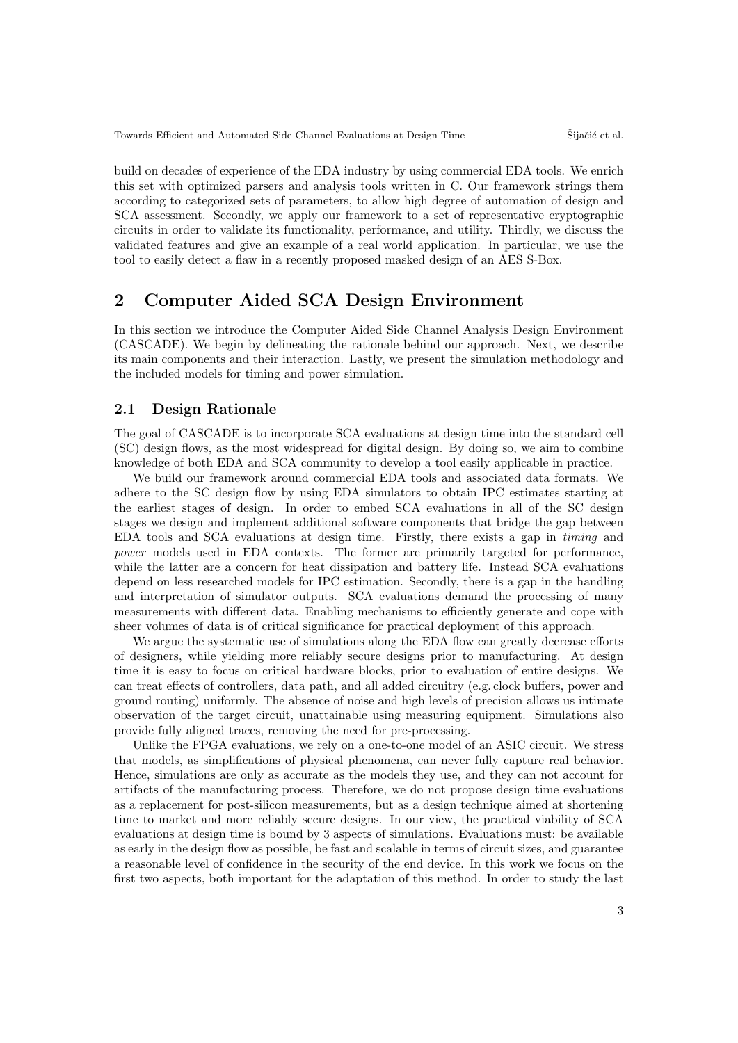build on decades of experience of the EDA industry by using commercial EDA tools. We enrich this set with optimized parsers and analysis tools written in C. Our framework strings them according to categorized sets of parameters, to allow high degree of automation of design and SCA assessment. Secondly, we apply our framework to a set of representative cryptographic circuits in order to validate its functionality, performance, and utility. Thirdly, we discuss the validated features and give an example of a real world application. In particular, we use the tool to easily detect a flaw in a recently proposed masked design of an AES S-Box.

## 2 Computer Aided SCA Design Environment

In this section we introduce the Computer Aided Side Channel Analysis Design Environment (CASCADE). We begin by delineating the rationale behind our approach. Next, we describe its main components and their interaction. Lastly, we present the simulation methodology and the included models for timing and power simulation.

#### 2.1 Design Rationale

The goal of CASCADE is to incorporate SCA evaluations at design time into the standard cell (SC) design flows, as the most widespread for digital design. By doing so, we aim to combine knowledge of both EDA and SCA community to develop a tool easily applicable in practice.

We build our framework around commercial EDA tools and associated data formats. We adhere to the SC design flow by using EDA simulators to obtain IPC estimates starting at the earliest stages of design. In order to embed SCA evaluations in all of the SC design stages we design and implement additional software components that bridge the gap between EDA tools and SCA evaluations at design time. Firstly, there exists a gap in timing and power models used in EDA contexts. The former are primarily targeted for performance, while the latter are a concern for heat dissipation and battery life. Instead SCA evaluations depend on less researched models for IPC estimation. Secondly, there is a gap in the handling and interpretation of simulator outputs. SCA evaluations demand the processing of many measurements with different data. Enabling mechanisms to efficiently generate and cope with sheer volumes of data is of critical significance for practical deployment of this approach.

We argue the systematic use of simulations along the EDA flow can greatly decrease efforts of designers, while yielding more reliably secure designs prior to manufacturing. At design time it is easy to focus on critical hardware blocks, prior to evaluation of entire designs. We can treat effects of controllers, data path, and all added circuitry (e.g. clock buffers, power and ground routing) uniformly. The absence of noise and high levels of precision allows us intimate observation of the target circuit, unattainable using measuring equipment. Simulations also provide fully aligned traces, removing the need for pre-processing.

Unlike the FPGA evaluations, we rely on a one-to-one model of an ASIC circuit. We stress that models, as simplifications of physical phenomena, can never fully capture real behavior. Hence, simulations are only as accurate as the models they use, and they can not account for artifacts of the manufacturing process. Therefore, we do not propose design time evaluations as a replacement for post-silicon measurements, but as a design technique aimed at shortening time to market and more reliably secure designs. In our view, the practical viability of SCA evaluations at design time is bound by 3 aspects of simulations. Evaluations must: be available as early in the design flow as possible, be fast and scalable in terms of circuit sizes, and guarantee a reasonable level of confidence in the security of the end device. In this work we focus on the first two aspects, both important for the adaptation of this method. In order to study the last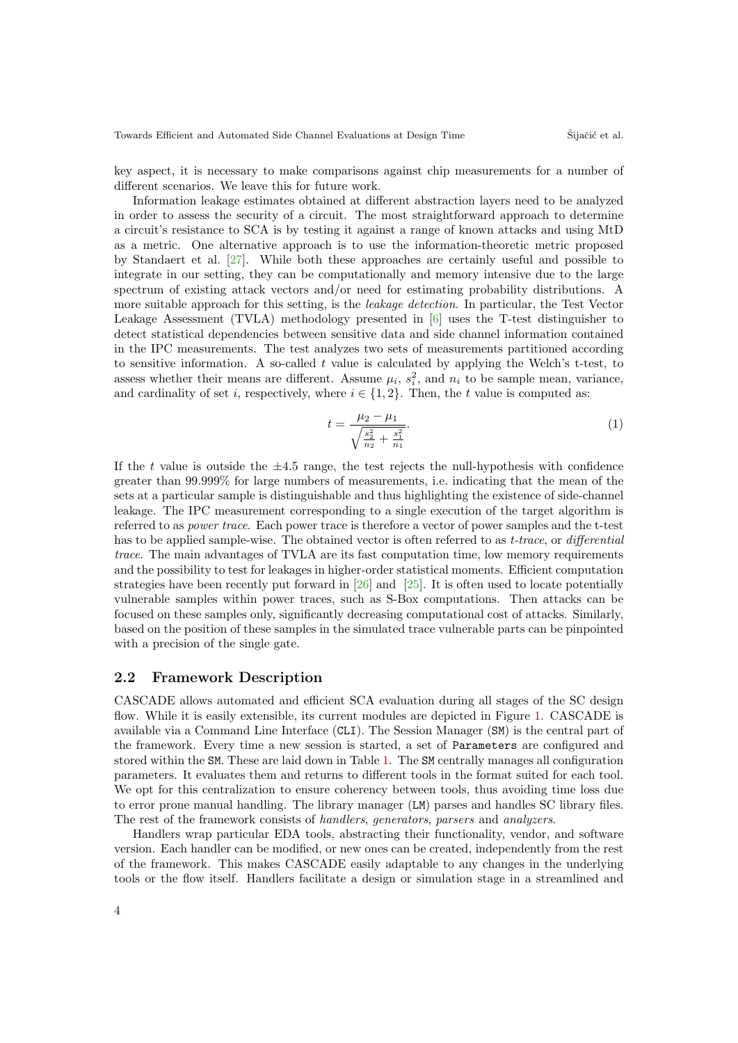key aspect, it is necessary to make comparisons against chip measurements for a number of different scenarios. We leave this for future work.

Information leakage estimates obtained at different abstraction layers need to be analyzed in order to assess the security of a circuit. The most straightforward approach to determine a circuit's resistance to SCA is by testing it against a range of known attacks and using MtD as a metric. One alternative approach is to use the information-theoretic metric proposed by Standaert et al. [\[27\]](#page-14-8). While both these approaches are certainly useful and possible to integrate in our setting, they can be computationally and memory intensive due to the large spectrum of existing attack vectors and/or need for estimating probability distributions. A more suitable approach for this setting, is the *leakage detection*. In particular, the Test Vector Leakage Assessment (TVLA) methodology presented in [\[6\]](#page-13-7) uses the T-test distinguisher to detect statistical dependencies between sensitive data and side channel information contained in the IPC measurements. The test analyzes two sets of measurements partitioned according to sensitive information. A so-called  $t$  value is calculated by applying the Welch's t-test, to assess whether their means are different. Assume  $\mu_i$ ,  $s_i^2$ , and  $n_i$  to be sample mean, variance, and cardinality of set i, respectively, where  $i \in \{1, 2\}$ . Then, the t value is computed as:

$$
t = \frac{\mu_2 - \mu_1}{\sqrt{\frac{s_2^2}{n_2} + \frac{s_1^2}{n_1}}}.\tag{1}
$$

If the t value is outside the  $\pm 4.5$  range, the test rejects the null-hypothesis with confidence greater than 99.999% for large numbers of measurements, i.e. indicating that the mean of the sets at a particular sample is distinguishable and thus highlighting the existence of side-channel leakage. The IPC measurement corresponding to a single execution of the target algorithm is referred to as power trace. Each power trace is therefore a vector of power samples and the t-test has to be applied sample-wise. The obtained vector is often referred to as *t-trace*, or *differential* trace. The main advantages of TVLA are its fast computation time, low memory requirements and the possibility to test for leakages in higher-order statistical moments. Efficient computation strategies have been recently put forward in [\[26\]](#page-14-9) and [\[25\]](#page-14-10). It is often used to locate potentially vulnerable samples within power traces, such as S-Box computations. Then attacks can be focused on these samples only, significantly decreasing computational cost of attacks. Similarly, based on the position of these samples in the simulated trace vulnerable parts can be pinpointed with a precision of the single gate.

#### 2.2 Framework Description

CASCADE allows automated and efficient SCA evaluation during all stages of the SC design flow. While it is easily extensible, its current modules are depicted in Figure [1.](#page-4-0) CASCADE is available via a Command Line Interface (CLI). The Session Manager (SM) is the central part of the framework. Every time a new session is started, a set of Parameters are configured and stored within the SM. These are laid down in Table [1.](#page-4-1) The SM centrally manages all configuration parameters. It evaluates them and returns to different tools in the format suited for each tool. We opt for this centralization to ensure coherency between tools, thus avoiding time loss due to error prone manual handling. The library manager (LM) parses and handles SC library files. The rest of the framework consists of handlers, generators, parsers and analyzers.

Handlers wrap particular EDA tools, abstracting their functionality, vendor, and software version. Each handler can be modified, or new ones can be created, independently from the rest of the framework. This makes CASCADE easily adaptable to any changes in the underlying tools or the flow itself. Handlers facilitate a design or simulation stage in a streamlined and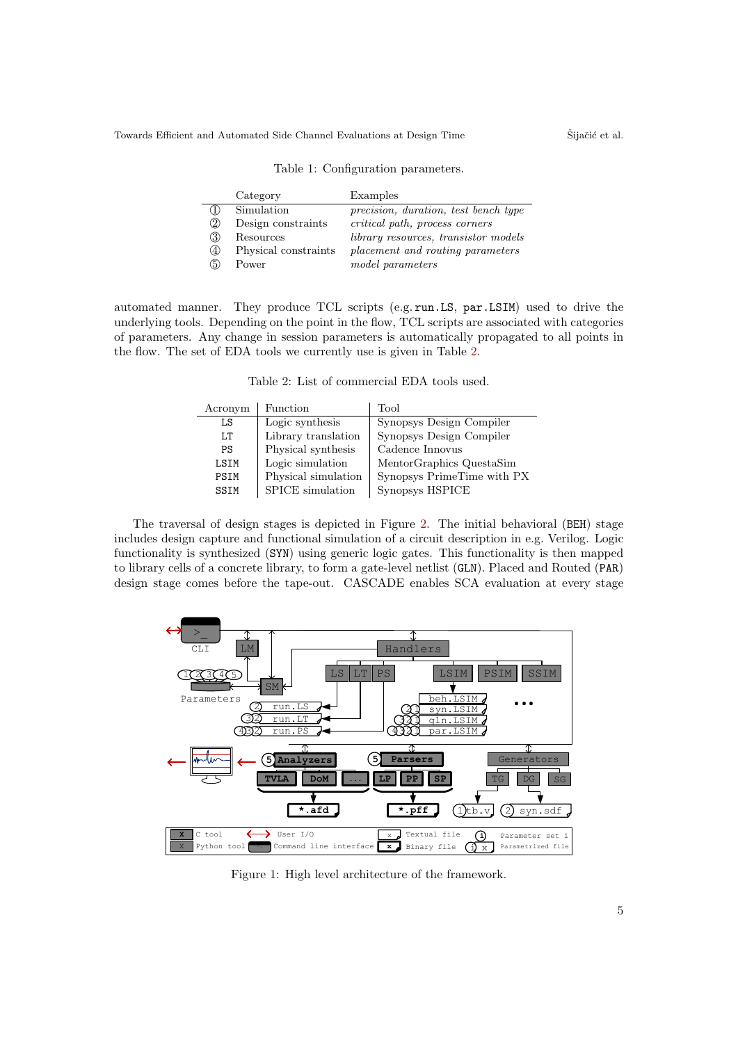<span id="page-4-1"></span>

|               | Category             | Examples                                    |
|---------------|----------------------|---------------------------------------------|
| $\bigcirc$    | Simulation           | precision, duration, test bench type        |
| $\circled{2}$ | Design constraints   | critical path, process corners              |
| 3             | Resources            | <i>library resources, transistor models</i> |
| $\circ$       | Physical constraints | placement and routing parameters            |
| (5)           | Power                | model parameters                            |

Table 1: Configuration parameters.

<span id="page-4-2"></span>automated manner. They produce TCL scripts (e.g. run.LS, par.LSIM) used to drive the underlying tools. Depending on the point in the flow, TCL scripts are associated with categories of parameters. Any change in session parameters is automatically propagated to all points in the flow. The set of EDA tools we currently use is given in Table [2.](#page-4-2)

Table 2: List of commercial EDA tools used.

| Acronym | Function            | Tool                       |
|---------|---------------------|----------------------------|
| LS      | Logic synthesis     | Synopsys Design Compiler   |
| T.T     | Library translation | Synopsys Design Compiler   |
| PS      | Physical synthesis  | Cadence Innovus            |
| LSIM    | Logic simulation    | MentorGraphics QuestaSim   |
| PSIM    | Physical simulation | Synopsys PrimeTime with PX |
| SSIM    | SPICE simulation    | Synopsys HSPICE            |

The traversal of design stages is depicted in Figure [2.](#page-5-0) The initial behavioral (BEH) stage includes design capture and functional simulation of a circuit description in e.g. Verilog. Logic functionality is synthesized (SYN) using generic logic gates. This functionality is then mapped to library cells of a concrete library, to form a gate-level netlist (GLN). Placed and Routed (PAR) design stage comes before the tape-out. CASCADE enables SCA evaluation at every stage

<span id="page-4-0"></span>

Figure 1: High level architecture of the framework.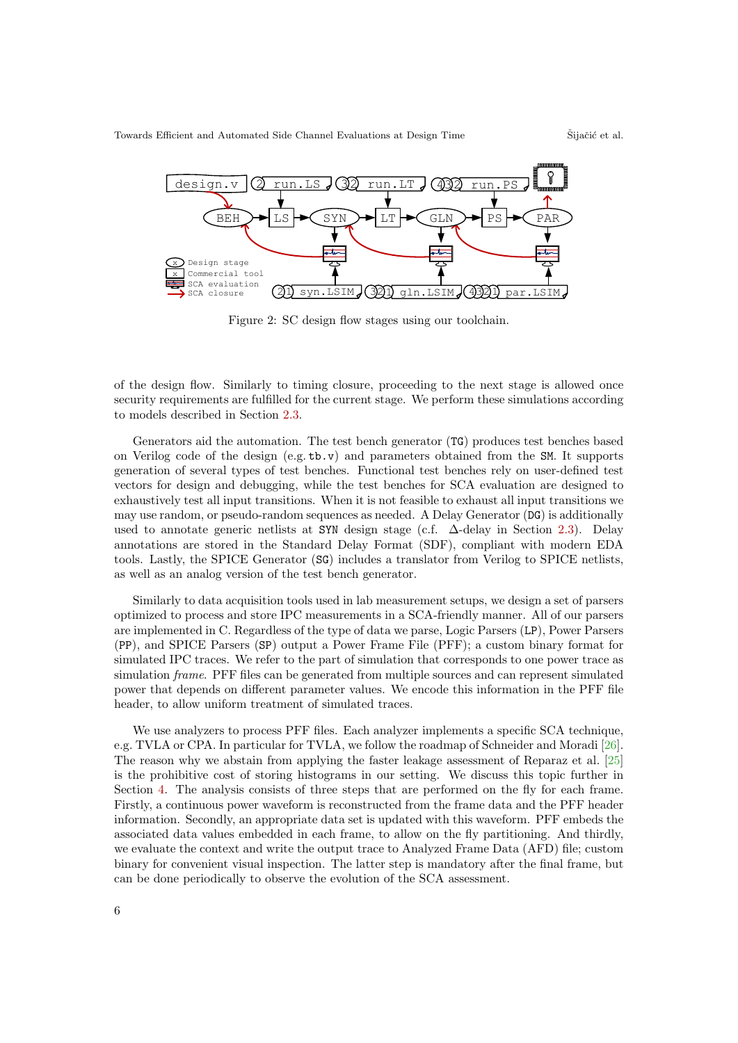<span id="page-5-0"></span>

Figure 2: SC design flow stages using our toolchain.

of the design flow. Similarly to timing closure, proceeding to the next stage is allowed once security requirements are fulfilled for the current stage. We perform these simulations according to models described in Section [2.3.](#page-6-0)

Generators aid the automation. The test bench generator (TG) produces test benches based on Verilog code of the design  $(e.g. t b. v)$  and parameters obtained from the SM. It supports generation of several types of test benches. Functional test benches rely on user-defined test vectors for design and debugging, while the test benches for SCA evaluation are designed to exhaustively test all input transitions. When it is not feasible to exhaust all input transitions we may use random, or pseudo-random sequences as needed. A Delay Generator (DG) is additionally used to annotate generic netlists at SYN design stage (c.f. ∆-delay in Section [2.3\)](#page-6-0). Delay annotations are stored in the Standard Delay Format (SDF), compliant with modern EDA tools. Lastly, the SPICE Generator (SG) includes a translator from Verilog to SPICE netlists, as well as an analog version of the test bench generator.

Similarly to data acquisition tools used in lab measurement setups, we design a set of parsers optimized to process and store IPC measurements in a SCA-friendly manner. All of our parsers are implemented in C. Regardless of the type of data we parse, Logic Parsers (LP), Power Parsers (PP), and SPICE Parsers (SP) output a Power Frame File (PFF); a custom binary format for simulated IPC traces. We refer to the part of simulation that corresponds to one power trace as simulation frame. PFF files can be generated from multiple sources and can represent simulated power that depends on different parameter values. We encode this information in the PFF file header, to allow uniform treatment of simulated traces.

We use analyzers to process PFF files. Each analyzer implements a specific SCA technique, e.g. TVLA or CPA. In particular for TVLA, we follow the roadmap of Schneider and Moradi [\[26\]](#page-14-9). The reason why we abstain from applying the faster leakage assessment of Reparaz et al. [\[25\]](#page-14-10) is the prohibitive cost of storing histograms in our setting. We discuss this topic further in Section [4.](#page-10-0) The analysis consists of three steps that are performed on the fly for each frame. Firstly, a continuous power waveform is reconstructed from the frame data and the PFF header information. Secondly, an appropriate data set is updated with this waveform. PFF embeds the associated data values embedded in each frame, to allow on the fly partitioning. And thirdly, we evaluate the context and write the output trace to Analyzed Frame Data (AFD) file; custom binary for convenient visual inspection. The latter step is mandatory after the final frame, but can be done periodically to observe the evolution of the SCA assessment.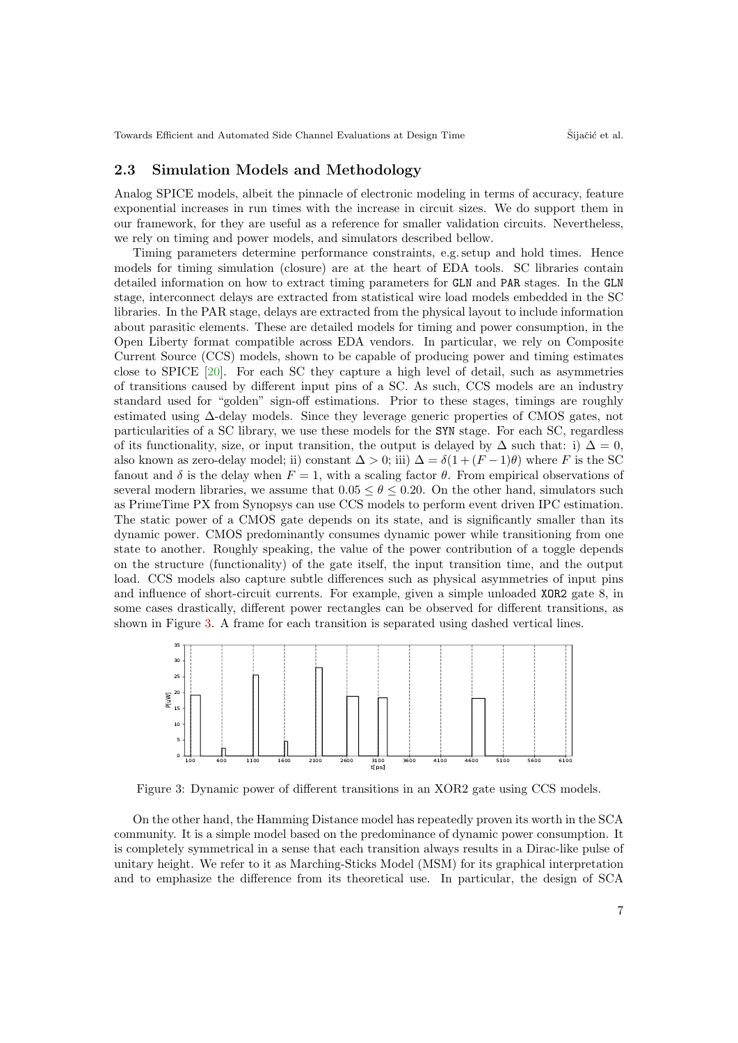#### <span id="page-6-0"></span>2.3 Simulation Models and Methodology

Analog SPICE models, albeit the pinnacle of electronic modeling in terms of accuracy, feature exponential increases in run times with the increase in circuit sizes. We do support them in our framework, for they are useful as a reference for smaller validation circuits. Nevertheless, we rely on timing and power models, and simulators described bellow.

Timing parameters determine performance constraints, e.g. setup and hold times. Hence models for timing simulation (closure) are at the heart of EDA tools. SC libraries contain detailed information on how to extract timing parameters for GLN and PAR stages. In the GLN stage, interconnect delays are extracted from statistical wire load models embedded in the SC libraries. In the PAR stage, delays are extracted from the physical layout to include information about parasitic elements. These are detailed models for timing and power consumption, in the Open Liberty format compatible across EDA vendors. In particular, we rely on Composite Current Source (CCS) models, shown to be capable of producing power and timing estimates close to SPICE [\[20\]](#page-14-11). For each SC they capture a high level of detail, such as asymmetries of transitions caused by different input pins of a SC. As such, CCS models are an industry standard used for "golden" sign-off estimations. Prior to these stages, timings are roughly estimated using ∆-delay models. Since they leverage generic properties of CMOS gates, not particularities of a SC library, we use these models for the SYN stage. For each SC, regardless of its functionality, size, or input transition, the output is delayed by  $\Delta$  such that: i)  $\Delta = 0$ , also known as zero-delay model; ii) constant  $\Delta > 0$ ; iii)  $\Delta = \delta(1 + (F - 1)\theta)$  where F is the SC fanout and  $\delta$  is the delay when  $F = 1$ , with a scaling factor  $\theta$ . From empirical observations of several modern libraries, we assume that  $0.05 \le \theta \le 0.20$ . On the other hand, simulators such as PrimeTime PX from Synopsys can use CCS models to perform event driven IPC estimation. The static power of a CMOS gate depends on its state, and is significantly smaller than its dynamic power. CMOS predominantly consumes dynamic power while transitioning from one state to another. Roughly speaking, the value of the power contribution of a toggle depends on the structure (functionality) of the gate itself, the input transition time, and the output load. CCS models also capture subtle differences such as physical asymmetries of input pins and influence of short-circuit currents. For example, given a simple unloaded XOR2 gate 8, in some cases drastically, different power rectangles can be observed for different transitions, as shown in Figure [3.](#page-6-1) A frame for each transition is separated using dashed vertical lines.

<span id="page-6-1"></span>

Figure 3: Dynamic power of different transitions in an XOR2 gate using CCS models.

On the other hand, the Hamming Distance model has repeatedly proven its worth in the SCA community. It is a simple model based on the predominance of dynamic power consumption. It is completely symmetrical in a sense that each transition always results in a Dirac-like pulse of unitary height. We refer to it as Marching-Sticks Model (MSM) for its graphical interpretation and to emphasize the difference from its theoretical use. In particular, the design of SCA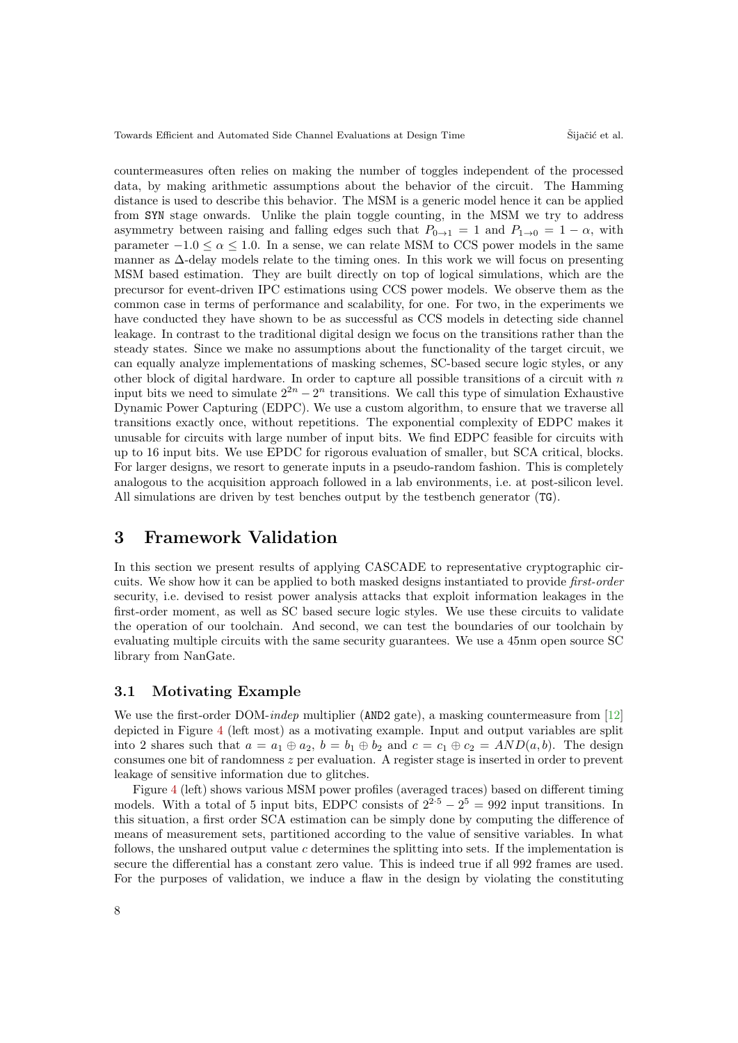countermeasures often relies on making the number of toggles independent of the processed data, by making arithmetic assumptions about the behavior of the circuit. The Hamming distance is used to describe this behavior. The MSM is a generic model hence it can be applied from SYN stage onwards. Unlike the plain toggle counting, in the MSM we try to address asymmetry between raising and falling edges such that  $P_{0\rightarrow1} = 1$  and  $P_{1\rightarrow0} = 1 - \alpha$ , with parameter  $-1.0 \le \alpha \le 1.0$ . In a sense, we can relate MSM to CCS power models in the same manner as ∆-delay models relate to the timing ones. In this work we will focus on presenting MSM based estimation. They are built directly on top of logical simulations, which are the precursor for event-driven IPC estimations using CCS power models. We observe them as the common case in terms of performance and scalability, for one. For two, in the experiments we have conducted they have shown to be as successful as CCS models in detecting side channel leakage. In contrast to the traditional digital design we focus on the transitions rather than the steady states. Since we make no assumptions about the functionality of the target circuit, we can equally analyze implementations of masking schemes, SC-based secure logic styles, or any other block of digital hardware. In order to capture all possible transitions of a circuit with  $n$ input bits we need to simulate  $2^{2n} - 2^n$  transitions. We call this type of simulation Exhaustive Dynamic Power Capturing (EDPC). We use a custom algorithm, to ensure that we traverse all transitions exactly once, without repetitions. The exponential complexity of EDPC makes it unusable for circuits with large number of input bits. We find EDPC feasible for circuits with up to 16 input bits. We use EPDC for rigorous evaluation of smaller, but SCA critical, blocks. For larger designs, we resort to generate inputs in a pseudo-random fashion. This is completely analogous to the acquisition approach followed in a lab environments, i.e. at post-silicon level. All simulations are driven by test benches output by the testbench generator (TG).

## 3 Framework Validation

In this section we present results of applying CASCADE to representative cryptographic circuits. We show how it can be applied to both masked designs instantiated to provide first-order security, i.e. devised to resist power analysis attacks that exploit information leakages in the first-order moment, as well as SC based secure logic styles. We use these circuits to validate the operation of our toolchain. And second, we can test the boundaries of our toolchain by evaluating multiple circuits with the same security guarantees. We use a 45nm open source SC library from NanGate.

#### 3.1 Motivating Example

We use the first-order DOM-*indep* multiplier (AND2 gate), a masking countermeasure from [\[12\]](#page-13-12) depicted in Figure [4](#page-8-0) (left most) as a motivating example. Input and output variables are split into 2 shares such that  $a = a_1 \oplus a_2$ ,  $b = b_1 \oplus b_2$  and  $c = c_1 \oplus c_2 = AND(a, b)$ . The design consumes one bit of randomness z per evaluation. A register stage is inserted in order to prevent leakage of sensitive information due to glitches.

Figure [4](#page-8-0) (left) shows various MSM power profiles (averaged traces) based on different timing models. With a total of 5 input bits, EDPC consists of  $2^{2.5} - 2^5 = 992$  input transitions. In this situation, a first order SCA estimation can be simply done by computing the difference of means of measurement sets, partitioned according to the value of sensitive variables. In what follows, the unshared output value  $c$  determines the splitting into sets. If the implementation is secure the differential has a constant zero value. This is indeed true if all 992 frames are used. For the purposes of validation, we induce a flaw in the design by violating the constituting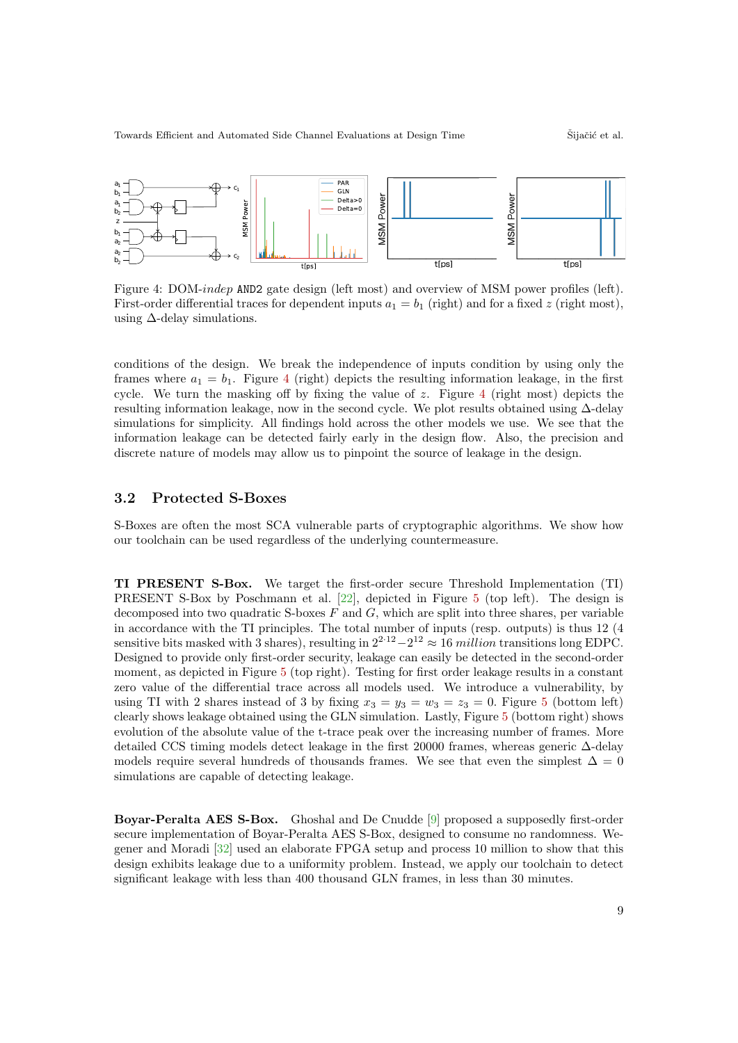<span id="page-8-0"></span>

Figure 4: DOM-indep AND2 gate design (left most) and overview of MSM power profiles (left). First-order differential traces for dependent inputs  $a_1 = b_1$  (right) and for a fixed z (right most), using  $\Delta$ -delay simulations.

conditions of the design. We break the independence of inputs condition by using only the frames where  $a_1 = b_1$ . Figure [4](#page-8-0) (right) depicts the resulting information leakage, in the first cycle. We turn the masking off by fixing the value of  $z$ . Figure [4](#page-8-0) (right most) depicts the resulting information leakage, now in the second cycle. We plot results obtained using ∆-delay simulations for simplicity. All findings hold across the other models we use. We see that the information leakage can be detected fairly early in the design flow. Also, the precision and discrete nature of models may allow us to pinpoint the source of leakage in the design.

#### 3.2 Protected S-Boxes

S-Boxes are often the most SCA vulnerable parts of cryptographic algorithms. We show how our toolchain can be used regardless of the underlying countermeasure.

TI PRESENT S-Box. We target the first-order secure Threshold Implementation (TI) PRESENT S-Box by Poschmann et al. [\[22\]](#page-14-12), depicted in Figure [5](#page-9-0) (top left). The design is decomposed into two quadratic S-boxes  $F$  and  $G$ , which are split into three shares, per variable in accordance with the TI principles. The total number of inputs (resp. outputs) is thus 12 (4 sensitive bits masked with 3 shares), resulting in  $2^{2 \cdot 12} - 2^{12} \approx 16$  million transitions long EDPC. Designed to provide only first-order security, leakage can easily be detected in the second-order moment, as depicted in Figure [5](#page-9-0) (top right). Testing for first order leakage results in a constant zero value of the differential trace across all models used. We introduce a vulnerability, by using TI with 2 shares instead of 3 by fixing  $x_3 = y_3 = w_3 = z_3 = 0$ . Figure [5](#page-9-0) (bottom left) clearly shows leakage obtained using the GLN simulation. Lastly, Figure [5](#page-9-0) (bottom right) shows evolution of the absolute value of the t-trace peak over the increasing number of frames. More detailed CCS timing models detect leakage in the first 20000 frames, whereas generic ∆-delay models require several hundreds of thousands frames. We see that even the simplest  $\Delta = 0$ simulations are capable of detecting leakage.

Boyar-Peralta AES S-Box. Ghoshal and De Cnudde [\[9\]](#page-13-13) proposed a supposedly first-order secure implementation of Boyar-Peralta AES S-Box, designed to consume no randomness. Wegener and Moradi [\[32\]](#page-14-13) used an elaborate FPGA setup and process 10 million to show that this design exhibits leakage due to a uniformity problem. Instead, we apply our toolchain to detect significant leakage with less than 400 thousand GLN frames, in less than 30 minutes.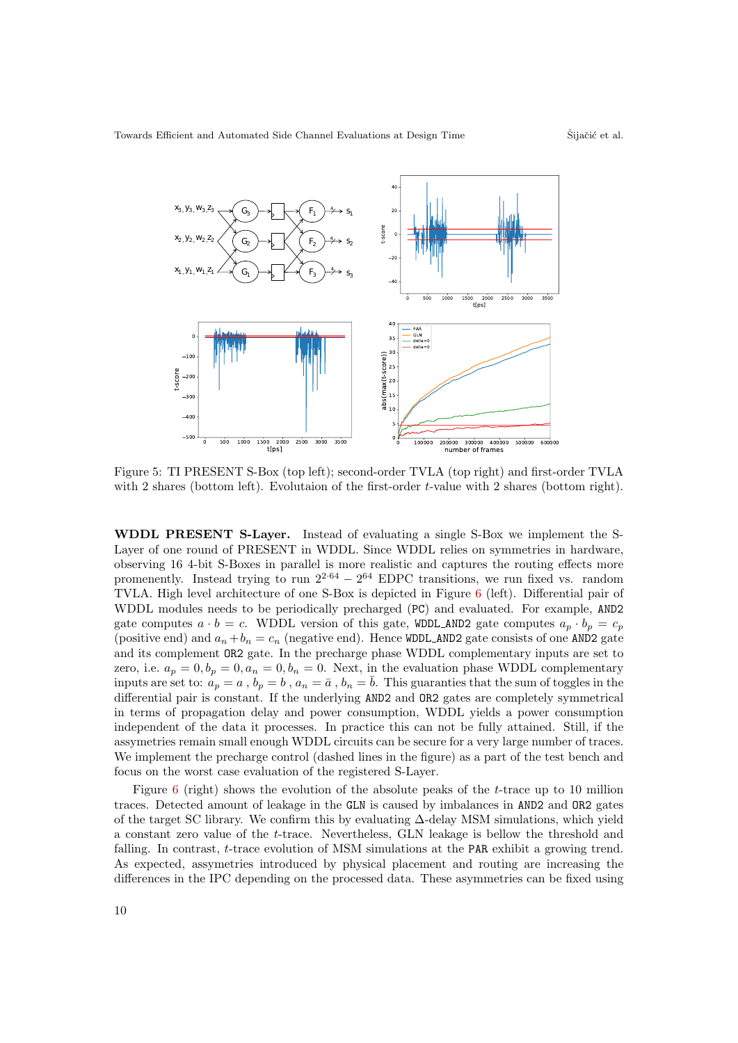<span id="page-9-0"></span>

Figure 5: TI PRESENT S-Box (top left); second-order TVLA (top right) and first-order TVLA with 2 shares (bottom left). Evolutaion of the first-order t-value with 2 shares (bottom right).

WDDL PRESENT S-Layer. Instead of evaluating a single S-Box we implement the S-Layer of one round of PRESENT in WDDL. Since WDDL relies on symmetries in hardware, observing 16 4-bit S-Boxes in parallel is more realistic and captures the routing effects more promenently. Instead trying to run  $2^{2.64} - 2^{64}$  EDPC transitions, we run fixed vs. random TVLA. High level architecture of one S-Box is depicted in Figure [6](#page-10-1) (left). Differential pair of WDDL modules needs to be periodically precharged (PC) and evaluated. For example, AND2 gate computes  $a \cdot b = c$ . WDDL version of this gate, WDDL AND2 gate computes  $a_p \cdot b_p = c_p$ (positive end) and  $a_n + b_n = c_n$  (negative end). Hence WDDL\_AND2 gate consists of one AND2 gate and its complement OR2 gate. In the precharge phase WDDL complementary inputs are set to zero, i.e.  $a_p = 0, b_p = 0, a_n = 0, b_n = 0$ . Next, in the evaluation phase WDDL complementary inputs are set to:  $a_p = a$ ,  $b_p = b$ ,  $a_n = \bar{a}$ ,  $b_n = \bar{b}$ . This guaranties that the sum of toggles in the differential pair is constant. If the underlying AND2 and OR2 gates are completely symmetrical in terms of propagation delay and power consumption, WDDL yields a power consumption independent of the data it processes. In practice this can not be fully attained. Still, if the assymetries remain small enough WDDL circuits can be secure for a very large number of traces. We implement the precharge control (dashed lines in the figure) as a part of the test bench and focus on the worst case evaluation of the registered S-Layer.

Figure [6](#page-10-1) (right) shows the evolution of the absolute peaks of the t-trace up to 10 million traces. Detected amount of leakage in the GLN is caused by imbalances in AND2 and OR2 gates of the target SC library. We confirm this by evaluating ∆-delay MSM simulations, which yield a constant zero value of the t-trace. Nevertheless, GLN leakage is bellow the threshold and falling. In contrast, *t*-trace evolution of MSM simulations at the PAR exhibit a growing trend. As expected, assymetries introduced by physical placement and routing are increasing the differences in the IPC depending on the processed data. These asymmetries can be fixed using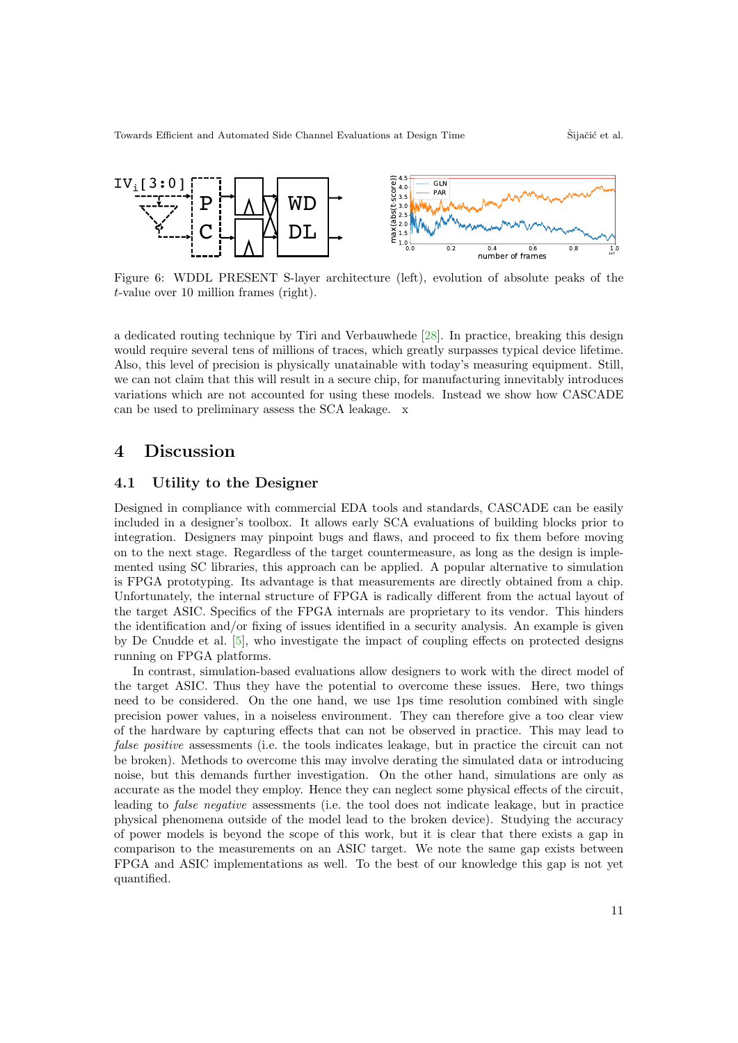<span id="page-10-1"></span>

Figure 6: WDDL PRESENT S-layer architecture (left), evolution of absolute peaks of the t-value over 10 million frames (right).

a dedicated routing technique by Tiri and Verbauwhede [\[28\]](#page-14-14). In practice, breaking this design would require several tens of millions of traces, which greatly surpasses typical device lifetime. Also, this level of precision is physically unatainable with today's measuring equipment. Still, we can not claim that this will result in a secure chip, for manufacturing innevitably introduces variations which are not accounted for using these models. Instead we show how CASCADE can be used to preliminary assess the SCA leakage. x

## <span id="page-10-0"></span>4 Discussion

### 4.1 Utility to the Designer

Designed in compliance with commercial EDA tools and standards, CASCADE can be easily included in a designer's toolbox. It allows early SCA evaluations of building blocks prior to integration. Designers may pinpoint bugs and flaws, and proceed to fix them before moving on to the next stage. Regardless of the target countermeasure, as long as the design is implemented using SC libraries, this approach can be applied. A popular alternative to simulation is FPGA prototyping. Its advantage is that measurements are directly obtained from a chip. Unfortunately, the internal structure of FPGA is radically different from the actual layout of the target ASIC. Specifics of the FPGA internals are proprietary to its vendor. This hinders the identification and/or fixing of issues identified in a security analysis. An example is given by De Cnudde et al. [\[5\]](#page-13-14), who investigate the impact of coupling effects on protected designs running on FPGA platforms.

In contrast, simulation-based evaluations allow designers to work with the direct model of the target ASIC. Thus they have the potential to overcome these issues. Here, two things need to be considered. On the one hand, we use 1ps time resolution combined with single precision power values, in a noiseless environment. They can therefore give a too clear view of the hardware by capturing effects that can not be observed in practice. This may lead to false positive assessments (i.e. the tools indicates leakage, but in practice the circuit can not be broken). Methods to overcome this may involve derating the simulated data or introducing noise, but this demands further investigation. On the other hand, simulations are only as accurate as the model they employ. Hence they can neglect some physical effects of the circuit, leading to false negative assessments (i.e. the tool does not indicate leakage, but in practice physical phenomena outside of the model lead to the broken device). Studying the accuracy of power models is beyond the scope of this work, but it is clear that there exists a gap in comparison to the measurements on an ASIC target. We note the same gap exists between FPGA and ASIC implementations as well. To the best of our knowledge this gap is not yet quantified.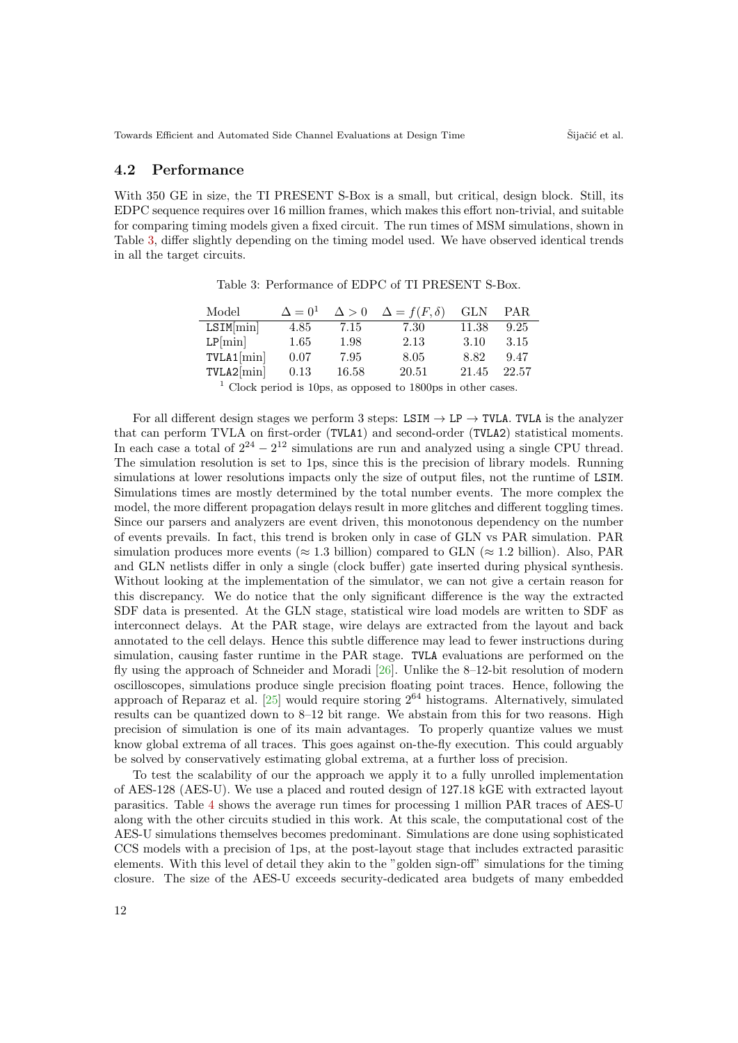#### 4.2 Performance

<span id="page-11-0"></span>With 350 GE in size, the TI PRESENT S-Box is a small, but critical, design block. Still, its EDPC sequence requires over 16 million frames, which makes this effort non-trivial, and suitable for comparing timing models given a fixed circuit. The run times of MSM simulations, shown in Table [3,](#page-11-0) differ slightly depending on the timing model used. We have observed identical trends in all the target circuits.

| Model         | $\Delta = 0^1$ | $\Delta > 0$ | $\Delta = f(F, \delta)$                                                 | GLN   | PAR   |
|---------------|----------------|--------------|-------------------------------------------------------------------------|-------|-------|
| $LSIM[\min]$  | 4.85           | 7.15         | 7.30                                                                    | 11.38 | 9.25  |
| $LP[\min]$    | 1.65           | 1.98         | 2.13                                                                    | 3.10  | 3.15  |
| $TVLA1[\min]$ | 0.07           | 7.95         | 8.05                                                                    | 8.82  | 9.47  |
| $TVLA2[\min]$ | 0.13           | 16.58        | 20.51                                                                   | 21.45 | 22.57 |
|               |                |              | $\frac{1}{2}$ Clog-ported is 10ps, as appeared to 1800ps in other eases |       |       |

Table 3: Performance of EDPC of TI PRESENT S-Box.

Clock period is 10ps, as opposed to 1800ps in other cases.

For all different design stages we perform 3 steps: LSIM  $\rightarrow$  LP  $\rightarrow$  TVLA. TVLA is the analyzer that can perform TVLA on first-order (TVLA1) and second-order (TVLA2) statistical moments. In each case a total of  $2^{24} - 2^{12}$  simulations are run and analyzed using a single CPU thread. The simulation resolution is set to 1ps, since this is the precision of library models. Running simulations at lower resolutions impacts only the size of output files, not the runtime of LSIM. Simulations times are mostly determined by the total number events. The more complex the model, the more different propagation delays result in more glitches and different toggling times. Since our parsers and analyzers are event driven, this monotonous dependency on the number of events prevails. In fact, this trend is broken only in case of GLN vs PAR simulation. PAR simulation produces more events ( $\approx 1.3$  billion) compared to GLN ( $\approx 1.2$  billion). Also, PAR and GLN netlists differ in only a single (clock buffer) gate inserted during physical synthesis. Without looking at the implementation of the simulator, we can not give a certain reason for this discrepancy. We do notice that the only significant difference is the way the extracted SDF data is presented. At the GLN stage, statistical wire load models are written to SDF as interconnect delays. At the PAR stage, wire delays are extracted from the layout and back annotated to the cell delays. Hence this subtle difference may lead to fewer instructions during simulation, causing faster runtime in the PAR stage. TVLA evaluations are performed on the fly using the approach of Schneider and Moradi [\[26\]](#page-14-9). Unlike the 8–12-bit resolution of modern oscilloscopes, simulations produce single precision floating point traces. Hence, following the approach of Reparaz et al. [\[25\]](#page-14-10) would require storing 2<sup>64</sup> histograms. Alternatively, simulated results can be quantized down to 8–12 bit range. We abstain from this for two reasons. High precision of simulation is one of its main advantages. To properly quantize values we must know global extrema of all traces. This goes against on-the-fly execution. This could arguably be solved by conservatively estimating global extrema, at a further loss of precision.

To test the scalability of our the approach we apply it to a fully unrolled implementation of AES-128 (AES-U). We use a placed and routed design of 127.18 kGE with extracted layout parasitics. Table [4](#page-12-2) shows the average run times for processing 1 million PAR traces of AES-U along with the other circuits studied in this work. At this scale, the computational cost of the AES-U simulations themselves becomes predominant. Simulations are done using sophisticated CCS models with a precision of 1ps, at the post-layout stage that includes extracted parasitic elements. With this level of detail they akin to the "golden sign-off" simulations for the timing closure. The size of the AES-U exceeds security-dedicated area budgets of many embedded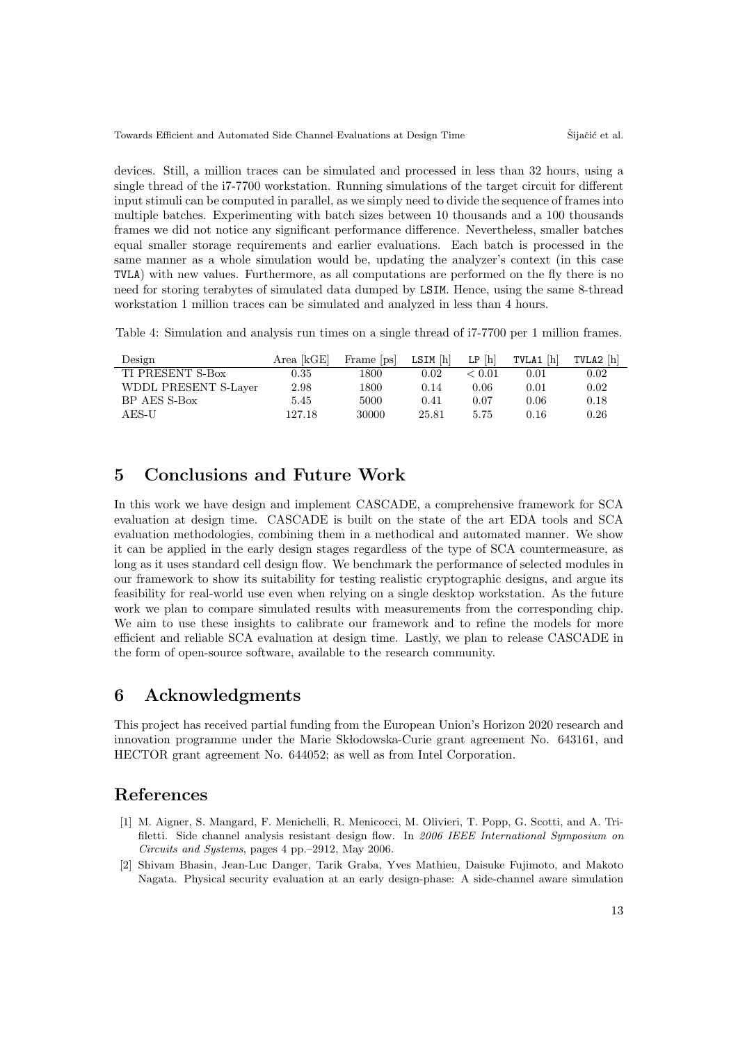devices. Still, a million traces can be simulated and processed in less than 32 hours, using a single thread of the i7-7700 workstation. Running simulations of the target circuit for different input stimuli can be computed in parallel, as we simply need to divide the sequence of frames into multiple batches. Experimenting with batch sizes between 10 thousands and a 100 thousands frames we did not notice any significant performance difference. Nevertheless, smaller batches equal smaller storage requirements and earlier evaluations. Each batch is processed in the same manner as a whole simulation would be, updating the analyzer's context (in this case TVLA) with new values. Furthermore, as all computations are performed on the fly there is no need for storing terabytes of simulated data dumped by LSIM. Hence, using the same 8-thread workstation 1 million traces can be simulated and analyzed in less than 4 hours.

<span id="page-12-2"></span>Table 4: Simulation and analysis run times on a single thread of i7-7700 per 1 million frames.

| Design               |          | Area $[kGE]$ Frame $[ps]$ LSIM $[h]$ LP $[h]$ |       |        | TVLA1 $[h]$ | TVLA2 [h] |
|----------------------|----------|-----------------------------------------------|-------|--------|-------------|-----------|
| TI PRESENT S-Box     | $0.35\,$ | 1800                                          | 0.02  | < 0.01 | 0.01        | 0.02      |
| WDDL PRESENT S-Layer | 2.98     | 1800                                          | 0.14  | 0.06   | 0.01        | 0.02      |
| BP AES S-Box         | 5.45     | 5000                                          | 0.41  | 0.07   | 0.06        | 0.18      |
| AES-U                | 127.18   | 30000                                         | 25.81 | 5.75   | 0.16        | 0.26      |

## 5 Conclusions and Future Work

In this work we have design and implement CASCADE, a comprehensive framework for SCA evaluation at design time. CASCADE is built on the state of the art EDA tools and SCA evaluation methodologies, combining them in a methodical and automated manner. We show it can be applied in the early design stages regardless of the type of SCA countermeasure, as long as it uses standard cell design flow. We benchmark the performance of selected modules in our framework to show its suitability for testing realistic cryptographic designs, and argue its feasibility for real-world use even when relying on a single desktop workstation. As the future work we plan to compare simulated results with measurements from the corresponding chip. We aim to use these insights to calibrate our framework and to refine the models for more efficient and reliable SCA evaluation at design time. Lastly, we plan to release CASCADE in the form of open-source software, available to the research community.

## 6 Acknowledgments

This project has received partial funding from the European Union's Horizon 2020 research and innovation programme under the Marie Sk lodowska-Curie grant agreement No. 643161, and HECTOR grant agreement No. 644052; as well as from Intel Corporation.

## References

- <span id="page-12-1"></span>[1] M. Aigner, S. Mangard, F. Menichelli, R. Menicocci, M. Olivieri, T. Popp, G. Scotti, and A. Trifiletti. Side channel analysis resistant design flow. In 2006 IEEE International Symposium on Circuits and Systems, pages 4 pp.–2912, May 2006.
- <span id="page-12-0"></span>[2] Shivam Bhasin, Jean-Luc Danger, Tarik Graba, Yves Mathieu, Daisuke Fujimoto, and Makoto Nagata. Physical security evaluation at an early design-phase: A side-channel aware simulation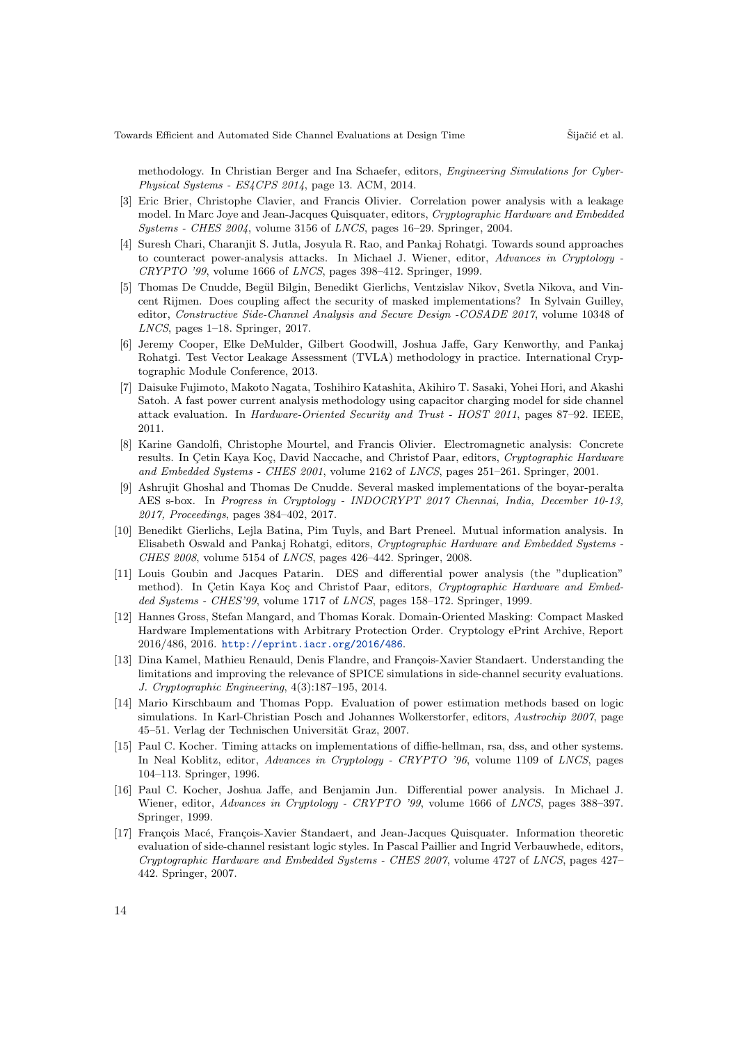methodology. In Christian Berger and Ina Schaefer, editors, Engineering Simulations for Cyber-Physical Systems - ES4CPS 2014, page 13. ACM, 2014.

- <span id="page-13-3"></span>[3] Eric Brier, Christophe Clavier, and Francis Olivier. Correlation power analysis with a leakage model. In Marc Joye and Jean-Jacques Quisquater, editors, Cryptographic Hardware and Embedded Systems - CHES 2004, volume 3156 of LNCS, pages 16–29. Springer, 2004.
- <span id="page-13-5"></span>[4] Suresh Chari, Charanjit S. Jutla, Josyula R. Rao, and Pankaj Rohatgi. Towards sound approaches to counteract power-analysis attacks. In Michael J. Wiener, editor, Advances in Cryptology - $CRYPTO$  '99, volume 1666 of  $LNCS$ , pages 398–412. Springer, 1999.
- <span id="page-13-14"></span>[5] Thomas De Cnudde, Begül Bilgin, Benedikt Gierlichs, Ventzislav Nikov, Svetla Nikova, and Vincent Rijmen. Does coupling affect the security of masked implementations? In Sylvain Guilley, editor, Constructive Side-Channel Analysis and Secure Design -COSADE 2017, volume 10348 of LNCS, pages 1–18. Springer, 2017.
- <span id="page-13-7"></span>[6] Jeremy Cooper, Elke DeMulder, Gilbert Goodwill, Joshua Jaffe, Gary Kenworthy, and Pankaj Rohatgi. Test Vector Leakage Assessment (TVLA) methodology in practice. International Cryptographic Module Conference, 2013.
- <span id="page-13-11"></span>[7] Daisuke Fujimoto, Makoto Nagata, Toshihiro Katashita, Akihiro T. Sasaki, Yohei Hori, and Akashi Satoh. A fast power current analysis methodology using capacitor charging model for side channel attack evaluation. In Hardware-Oriented Security and Trust - HOST 2011, pages 87–92. IEEE, 2011.
- <span id="page-13-2"></span>[8] Karine Gandolfi, Christophe Mourtel, and Francis Olivier. Electromagnetic analysis: Concrete results. In Cetin Kaya Koc, David Naccache, and Christof Paar, editors, Cryptographic Hardware and Embedded Systems - CHES 2001, volume 2162 of LNCS, pages 251–261. Springer, 2001.
- <span id="page-13-13"></span>[9] Ashrujit Ghoshal and Thomas De Cnudde. Several masked implementations of the boyar-peralta AES s-box. In Progress in Cryptology - INDOCRYPT 2017 Chennai, India, December 10-13, 2017, Proceedings, pages 384–402, 2017.
- <span id="page-13-4"></span>[10] Benedikt Gierlichs, Lejla Batina, Pim Tuyls, and Bart Preneel. Mutual information analysis. In Elisabeth Oswald and Pankaj Rohatgi, editors, Cryptographic Hardware and Embedded Systems - CHES 2008, volume 5154 of LNCS, pages 426–442. Springer, 2008.
- <span id="page-13-6"></span>[11] Louis Goubin and Jacques Patarin. DES and differential power analysis (the "duplication" method). In Cetin Kaya Koç and Christof Paar, editors, Cryptographic Hardware and Embedded Systems - CHES'99, volume 1717 of LNCS, pages 158-172. Springer, 1999.
- <span id="page-13-12"></span>[12] Hannes Gross, Stefan Mangard, and Thomas Korak. Domain-Oriented Masking: Compact Masked Hardware Implementations with Arbitrary Protection Order. Cryptology ePrint Archive, Report 2016/486, 2016. <http://eprint.iacr.org/2016/486>.
- <span id="page-13-9"></span>[13] Dina Kamel, Mathieu Renauld, Denis Flandre, and François-Xavier Standaert. Understanding the limitations and improving the relevance of SPICE simulations in side-channel security evaluations. J. Cryptographic Engineering, 4(3):187–195, 2014.
- <span id="page-13-8"></span>[14] Mario Kirschbaum and Thomas Popp. Evaluation of power estimation methods based on logic simulations. In Karl-Christian Posch and Johannes Wolkerstorfer, editors, Austrochip 2007, page 45–51. Verlag der Technischen Universität Graz, 2007.
- <span id="page-13-0"></span>[15] Paul C. Kocher. Timing attacks on implementations of diffie-hellman, rsa, dss, and other systems. In Neal Koblitz, editor, Advances in Cryptology - CRYPTO '96, volume 1109 of LNCS, pages 104–113. Springer, 1996.
- <span id="page-13-1"></span>[16] Paul C. Kocher, Joshua Jaffe, and Benjamin Jun. Differential power analysis. In Michael J. Wiener, editor, Advances in Cryptology - CRYPTO '99, volume 1666 of LNCS, pages 388–397. Springer, 1999.
- <span id="page-13-10"></span>[17] François Macé, François-Xavier Standaert, and Jean-Jacques Quisquater. Information theoretic evaluation of side-channel resistant logic styles. In Pascal Paillier and Ingrid Verbauwhede, editors, Cryptographic Hardware and Embedded Systems - CHES 2007, volume 4727 of LNCS, pages 427– 442. Springer, 2007.